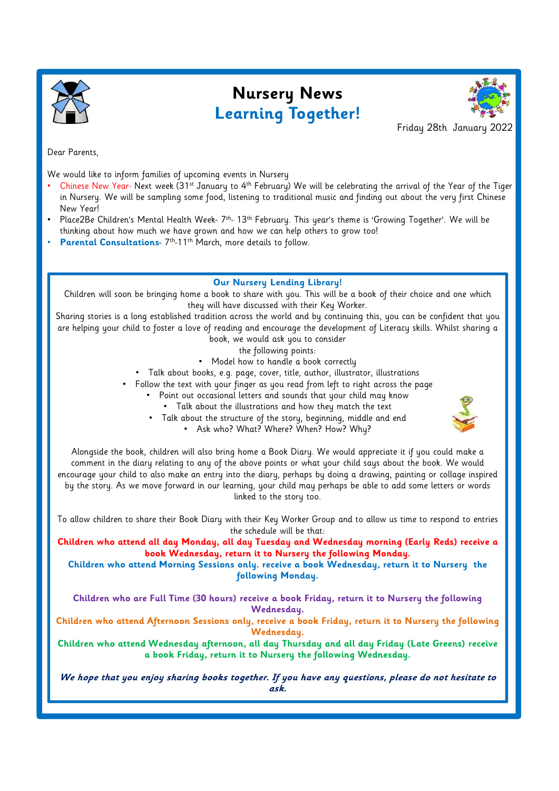

## Nursery News Learning Together!



Friday 28th January 2022

Dear Parents,

We would like to inform families of upcoming events in Nursery

- Chinese New Year- Next week (31st January to 4th February) We will be celebrating the arrival of the Year of the Tiger in Nursery. We will be sampling some food, listening to traditional music and finding out about the very first Chinese New Year! Friday 28th January 2022<br>
Dear Parents,<br>
We would like to inform families of upcoming events in Nursery<br>
• Chinese New Year- Next week (31<sup>st</sup> January to 4<sup>th</sup> February) We will be celebrating the arrival of the Year of th
- thinking about how much we have grown and how we can help others to grow too!
- Parental Consultations- 7<sup>th</sup>-11<sup>th</sup> March, more details to follow.

#### Our Nursery Lending Library!

Children will soon be bringing home a book to share with you. This will be a book of their choice and one which they will have discussed with their Key Worker.

Sharing stories is a long established tradition across the world and by continuing this, you can be confident that you are helping your child to foster a love of reading and encourage the development of Literacy skills. Whilst sharing a book, we would ask you to consider

- the following points:
- Model how to handle a book correctly
- Talk about books, e.g. page, cover, title, author, illustrator, illustrations
- Follow the text with your finger as you read from left to right across the page
	- Point out occasional letters and sounds that your child may know
		- Talk about the illustrations and how they match the text
		- Talk about the structure of the story, beginning, middle and end



• Ask who? What? Where? When? How? Why?

Alongside the book, children will also bring home a Book Diary. We would appreciate it if you could make a comment in the diary relating to any of the above points or what your child says about the book. We would encourage your child to also make an entry into the diary, perhaps by doing a drawing, painting or collage inspired by the story. As we move forward in our learning, your child may perhaps be able to add some letters or words linked to the story too.

To allow children to share their Book Diary with their Key Worker Group and to allow us time to respond to entries the schedule will be that:

Children who attend all day Monday, all day Tuesday and Wednesday morning (Early Reds) receive a book Wednesday, return it to Nursery the following Monday.

Children who attend Morning Sessions only. receive a book Wednesday, return it to Nursery the following Monday.

Children who are Full Time (30 hours) receive a book Friday, return it to Nursery the following Wednesday.

Children who attend Afternoon Sessions only, receive a book Friday, return it to Nursery the following Wednesday.

Children who attend Wednesday afternoon, all day Thursday and all day Friday (Late Greens) receive a book Friday, return it to Nursery the following Wednesday.

We hope that you enjoy sharing books together. If you have any questions, please do not hesitate to ask.